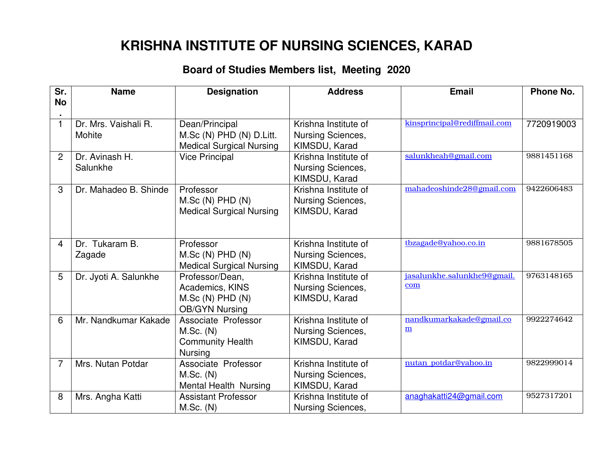## **KRISHNA INSTITUTE OF NURSING SCIENCES, KARAD**

## **Board of Studies Members list, Meeting 2020**

| Sr.            | <b>Name</b>           | <b>Designation</b>                    | <b>Address</b>                                   | <b>Email</b>                                         | <b>Phone No.</b> |
|----------------|-----------------------|---------------------------------------|--------------------------------------------------|------------------------------------------------------|------------------|
| <b>No</b>      |                       |                                       |                                                  |                                                      |                  |
| $\mathbf{1}$   | Dr. Mrs. Vaishali R.  | Dean/Principal                        | Krishna Institute of                             | kinsprincipal@rediffmail.com                         | 7720919003       |
|                | Mohite                | M.Sc (N) PHD (N) D.Litt.              | <b>Nursing Sciences,</b>                         |                                                      |                  |
|                |                       | <b>Medical Surgical Nursing</b>       | KIMSDU, Karad                                    |                                                      |                  |
| $\overline{2}$ | Dr. Avinash H.        | <b>Vice Principal</b>                 | Krishna Institute of                             | salunkheah@gmail.com                                 | 9881451168       |
|                | Salunkhe              |                                       | Nursing Sciences,                                |                                                      |                  |
|                |                       |                                       | KIMSDU, Karad                                    | mahadeoshinde28@gmail.com                            | 9422606483       |
| 3              | Dr. Mahadeo B. Shinde | Professor<br>$M.Sc(N)$ PHD $(N)$      | Krishna Institute of<br><b>Nursing Sciences,</b> |                                                      |                  |
|                |                       | <b>Medical Surgical Nursing</b>       | KIMSDU, Karad                                    |                                                      |                  |
|                |                       |                                       |                                                  |                                                      |                  |
|                |                       |                                       |                                                  |                                                      |                  |
| 4              | Dr. Tukaram B.        | Professor                             | Krishna Institute of                             | tbzagade@yahoo.co.in                                 | 9881678505       |
|                | Zagade                | $M.Sc(N)$ PHD $(N)$                   | <b>Nursing Sciences,</b>                         |                                                      |                  |
|                |                       | <b>Medical Surgical Nursing</b>       | KIMSDU, Karad                                    |                                                      |                  |
| 5              | Dr. Jyoti A. Salunkhe | Professor/Dean,                       | Krishna Institute of                             | jasalunkhe.salunkhe9@gmail.                          | 9763148165       |
|                |                       | Academics, KINS                       | Nursing Sciences,                                | com                                                  |                  |
|                |                       | $M.Sc(N)$ PHD $(N)$                   | KIMSDU, Karad                                    |                                                      |                  |
|                |                       | <b>OB/GYN Nursing</b>                 |                                                  |                                                      |                  |
| 6              | Mr. Nandkumar Kakade  | Associate Professor                   | Krishna Institute of                             | nandkumarkakade@gmail.co<br>$\underline{\mathbf{m}}$ | 9922274642       |
|                |                       | M.Sc. (N)                             | Nursing Sciences,                                |                                                      |                  |
|                |                       | <b>Community Health</b>               | KIMSDU, Karad                                    |                                                      |                  |
| $\overline{7}$ | Mrs. Nutan Potdar     | <b>Nursing</b><br>Associate Professor | Krishna Institute of                             | nutan potdar@yahoo.in                                | 9822999014       |
|                |                       | M.Sc. (N)                             | <b>Nursing Sciences,</b>                         |                                                      |                  |
|                |                       | Mental Health Nursing                 | KIMSDU, Karad                                    |                                                      |                  |
| 8              | Mrs. Angha Katti      | <b>Assistant Professor</b>            | Krishna Institute of                             | anaghakatti24@gmail.com                              | 9527317201       |
|                |                       | $M.Sc.$ (N)                           | Nursing Sciences,                                |                                                      |                  |